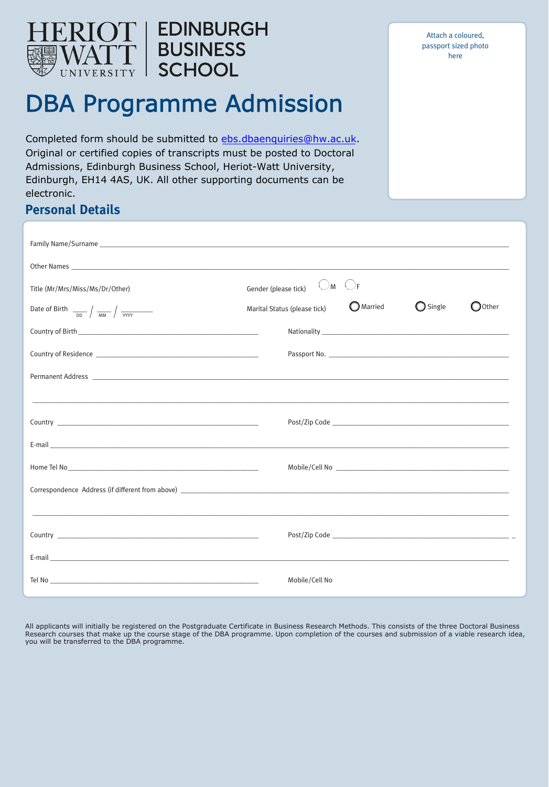

Attach a coloured, passport sized photo here

# DBA Programme Admission

**EDINBURGH** 

**BUSINESS** 

**SCHOOL** 

Completed form should be submitted to [ebs.dbaenquiries@hw.ac.uk](mailto:ebs.dbaenquiries@hw.ac.uk). Original or certified copies of transcripts must be posted to Doctoral Admissions, Edinburgh Business School, Heriot-Watt University, Edinburgh, EH14 4AS, UK. All other supporting documents can be electronic.

| <b>Personal Details</b>                                                                                                                                                                                                              |                                                                                                                |                   |                  |
|--------------------------------------------------------------------------------------------------------------------------------------------------------------------------------------------------------------------------------------|----------------------------------------------------------------------------------------------------------------|-------------------|------------------|
|                                                                                                                                                                                                                                      |                                                                                                                |                   |                  |
|                                                                                                                                                                                                                                      |                                                                                                                |                   |                  |
| Title (Mr/Mrs/Miss/Ms/Dr/Other)                                                                                                                                                                                                      | $\bigcirc$ m $\bigcirc$ f<br>Gender (please tick)                                                              |                   |                  |
| Date of Birth $\frac{1}{\sqrt{mn}} \int \frac{1}{\sqrt{mn}}$                                                                                                                                                                         | <b>O</b> Married<br>Marital Status (please tick)                                                               | $\bigcirc$ Single | $\bigcirc$ Other |
|                                                                                                                                                                                                                                      |                                                                                                                |                   |                  |
|                                                                                                                                                                                                                                      |                                                                                                                |                   |                  |
|                                                                                                                                                                                                                                      |                                                                                                                |                   |                  |
|                                                                                                                                                                                                                                      |                                                                                                                |                   |                  |
|                                                                                                                                                                                                                                      |                                                                                                                |                   |                  |
| E-mail <b>contract of the contract of the contract of the contract of the contract of the contract of the contract of the contract of the contract of the contract of the contract of the contract of the contract of the contra</b> |                                                                                                                |                   |                  |
|                                                                                                                                                                                                                                      | Mobile/Cell No 2008 - 2009 - 2009 - 2010 - 2010 - 2010 - 2010 - 2010 - 2010 - 2010 - 2010 - 2010 - 2010 - 2010 |                   |                  |
|                                                                                                                                                                                                                                      |                                                                                                                |                   |                  |
| ,我们也不能会在这里的人,我们也不能会在这里,我们也不能会在这里,我们也不能会在这里,我们也不能会在这里,我们也不能会在这里,我们也不能会不能会不能会。""我们,                                                                                                                                                    |                                                                                                                |                   |                  |
|                                                                                                                                                                                                                                      |                                                                                                                |                   |                  |

All applicants will initially be registered on the Postgraduate Certificate in Business Research Methods. This consists of the three Doctoral Business Research courses that make up the course stage of the DBA programme. Upon completion of the courses and submission of a viable research idea, you will be transferred to the DBA programme.

E-mail \_\_\_\_\_\_\_\_\_\_\_\_\_\_\_\_\_\_\_\_\_\_\_\_\_\_\_\_\_\_\_\_\_\_\_\_\_\_\_\_\_\_\_\_\_\_\_\_\_\_\_\_\_\_\_\_\_\_\_\_\_\_\_\_\_\_\_\_\_\_\_\_\_\_\_\_\_\_\_\_\_\_\_\_\_\_\_\_\_\_\_\_\_\_\_\_\_\_\_\_\_\_\_\_\_\_\_\_\_\_\_\_\_\_\_\_\_\_\_\_\_\_\_\_\_\_\_\_\_\_

Tel No \_\_\_\_\_\_\_\_\_\_\_\_\_\_\_\_\_\_\_\_\_\_\_\_\_\_\_\_\_\_\_\_\_\_\_\_\_\_\_\_\_\_\_\_\_\_\_\_\_\_\_\_\_\_\_\_\_\_\_ Mobile/Cell No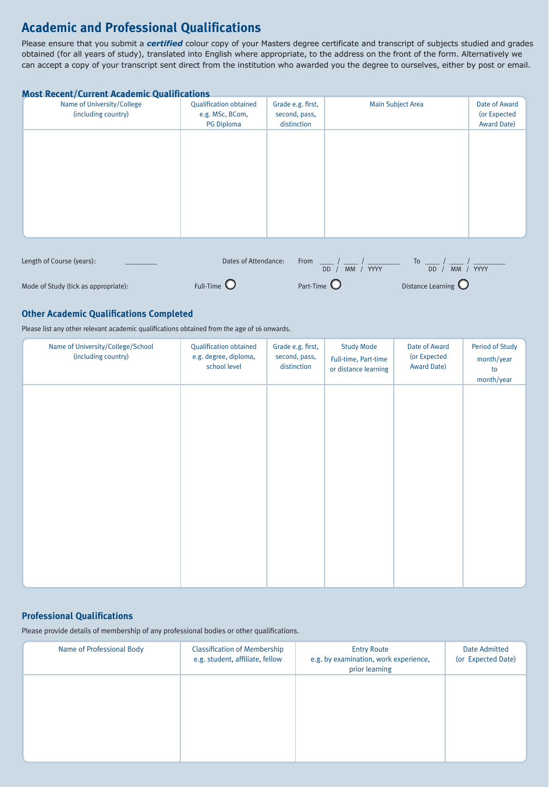### **Academic and Professional Qualifications**

Please ensure that you submit a *certified* colour copy of your Masters degree certificate and transcript of subjects studied and grades obtained (for all years of study), translated into English where appropriate, to the address on the front of the form. Alternatively we can accept a copy of your transcript sent direct from the institution who awarded you the degree to ourselves, either by post or email.

|  | <b>Most Recent/Current Academic Qualifications</b> |  |  |
|--|----------------------------------------------------|--|--|
|  |                                                    |  |  |

| Name of University/College<br>(including country) | <b>Qualification obtained</b><br>e.g. MSc, BCom,<br>PG Diploma | Grade e.g. first,<br>second, pass,<br>distinction | <b>Main Subject Area</b>         |                                | Date of Award<br>(or Expected<br><b>Award Date)</b> |
|---------------------------------------------------|----------------------------------------------------------------|---------------------------------------------------|----------------------------------|--------------------------------|-----------------------------------------------------|
|                                                   |                                                                |                                                   |                                  |                                |                                                     |
|                                                   |                                                                |                                                   |                                  |                                |                                                     |
|                                                   |                                                                |                                                   |                                  |                                |                                                     |
|                                                   |                                                                |                                                   |                                  |                                |                                                     |
| Length of Course (years):                         | Dates of Attendance:                                           | From                                              | / YYYY<br><b>MM</b><br><b>DD</b> | To<br>MM / YYYY<br><b>DD</b>   |                                                     |
| Mode of Study (tick as appropriate):              | Full-Time $\mathbf C$                                          | Part-Time $\bigcup$                               |                                  | Distance Learning $\mathbb{C}$ |                                                     |

#### **Other Academic Qualifications Completed**

Please list any other relevant academic qualifications obtained from the age of 16 onwards.

| Name of University/College/School<br>(including country) | <b>Qualification obtained</b><br>e.g. degree, diploma,<br>school level | Grade e.g. first,<br>second, pass,<br>distinction | <b>Study Mode</b><br>Full-time, Part-time<br>or distance learning | Date of Award<br>(or Expected<br>Award Date) | Period of Study<br>month/year<br>to<br>month/year |
|----------------------------------------------------------|------------------------------------------------------------------------|---------------------------------------------------|-------------------------------------------------------------------|----------------------------------------------|---------------------------------------------------|
|                                                          |                                                                        |                                                   |                                                                   |                                              |                                                   |
|                                                          |                                                                        |                                                   |                                                                   |                                              |                                                   |
|                                                          |                                                                        |                                                   |                                                                   |                                              |                                                   |
|                                                          |                                                                        |                                                   |                                                                   |                                              |                                                   |
|                                                          |                                                                        |                                                   |                                                                   |                                              |                                                   |

#### **Professional Qualifications**

Please provide details of membership of any professional bodies or other qualifications.

| Name of Professional Body | <b>Classification of Membership</b><br>e.g. student, affiliate, fellow | <b>Entry Route</b><br>e.g. by examination, work experience,<br>prior learning | Date Admitted<br>(or Expected Date) |
|---------------------------|------------------------------------------------------------------------|-------------------------------------------------------------------------------|-------------------------------------|
|                           |                                                                        |                                                                               |                                     |
|                           |                                                                        |                                                                               |                                     |
|                           |                                                                        |                                                                               |                                     |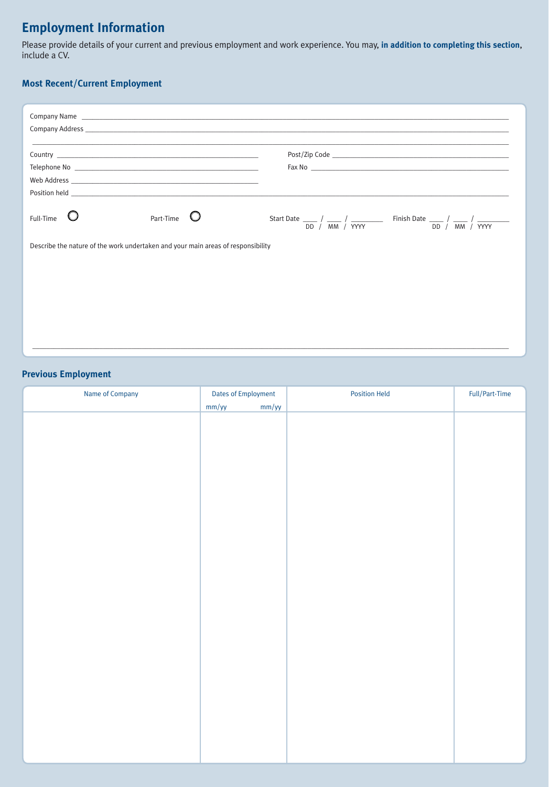# **Employment Information**

Please provide details of your current and previous employment and work experience. You may, **in addition to completing this section**, include a CV.

#### **Most Recent/Current Employment**

| Full-Time | Part-Time                                                                        | DD / MM / YYYY<br>DD / MM / YYYY |
|-----------|----------------------------------------------------------------------------------|----------------------------------|
|           | Describe the nature of the work undertaken and your main areas of responsibility |                                  |
|           |                                                                                  |                                  |
|           |                                                                                  |                                  |
|           |                                                                                  |                                  |
|           |                                                                                  |                                  |
|           |                                                                                  |                                  |
|           |                                                                                  |                                  |

\_\_\_\_\_\_\_\_\_\_\_\_\_\_\_\_\_\_\_\_\_\_\_\_\_\_\_\_\_\_\_\_\_\_\_\_\_\_\_\_\_\_\_\_\_\_\_\_\_\_\_\_\_\_\_\_\_\_\_\_\_\_\_\_\_\_\_\_\_\_\_\_\_\_\_\_\_\_\_\_\_\_\_\_\_\_\_\_\_\_\_\_\_\_\_\_\_\_\_\_\_\_\_\_\_\_\_\_\_\_\_\_\_\_\_\_\_\_\_\_\_\_\_\_\_\_\_\_\_\_\_\_\_\_\_

#### **Previous Employment**

| Name of Company | Dates of Employment | <b>Position Held</b> | $\mbox{{\sc Full/Part-Time}}$ |
|-----------------|---------------------|----------------------|-------------------------------|
|                 | mm/yy               | mm/yy                |                               |
|                 |                     |                      |                               |
|                 |                     |                      |                               |
|                 |                     |                      |                               |
|                 |                     |                      |                               |
|                 |                     |                      |                               |
|                 |                     |                      |                               |
|                 |                     |                      |                               |
|                 |                     |                      |                               |
|                 |                     |                      |                               |
|                 |                     |                      |                               |
|                 |                     |                      |                               |
|                 |                     |                      |                               |
|                 |                     |                      |                               |
|                 |                     |                      |                               |
|                 |                     |                      |                               |
|                 |                     |                      |                               |
|                 |                     |                      |                               |
|                 |                     |                      |                               |
|                 |                     |                      |                               |
|                 |                     |                      |                               |
|                 |                     |                      |                               |
|                 |                     |                      |                               |
|                 |                     |                      |                               |
|                 |                     |                      |                               |
|                 |                     |                      |                               |
|                 |                     |                      |                               |
|                 |                     |                      |                               |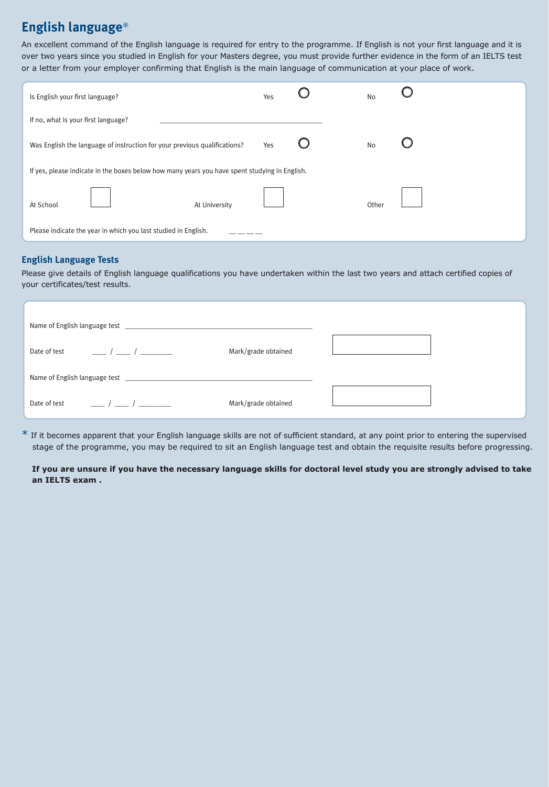### **English language**\*

An excellent command of the English language is required for entry to the programme. If English is not your first language and it is over two years since you studied in English for your Masters degree, you must provide further evidence in the form of an IELTS test or a letter from your employer confirming that English is the main language of communication at your place of work.

| Is English your first language?                                                               | Yes |  | No        |  |  |
|-----------------------------------------------------------------------------------------------|-----|--|-----------|--|--|
| If no, what is your first language?                                                           |     |  |           |  |  |
| Was English the language of instruction for your previous qualifications?                     | Yes |  | <b>No</b> |  |  |
| If yes, please indicate in the boxes below how many years you have spent studying in English. |     |  |           |  |  |
| At University<br>At School                                                                    |     |  | Other     |  |  |
| Please indicate the year in which you last studied in English.                                |     |  |           |  |  |

#### **English Language Tests**

Please give details of English language qualifications you have undertaken within the last two years and attach certified copies of your certificates/test results.

| $\frac{1}{\sqrt{2}}$<br>Date of test | Mark/grade obtained |  |
|--------------------------------------|---------------------|--|
|                                      |                     |  |
| Date of test<br>$\sqrt{2}$           | Mark/grade obtained |  |

 $*$  If it becomes apparent that your English language skills are not of sufficient standard, at any point prior to entering the supervised stage of the programme, you may be required to sit an English language test and obtain the requisite results before progressing.

**If you are unsure if you have the necessary language skills for doctoral level study you are strongly advised to take an IELTS exam .**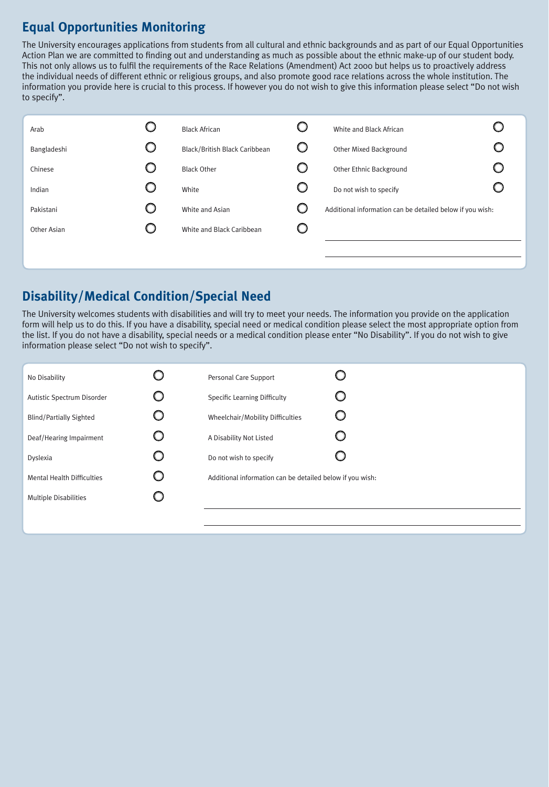## **Equal Opportunities Monitoring**

The University encourages applications from students from all cultural and ethnic backgrounds and as part of our Equal Opportunities Action Plan we are committed to finding out and understanding as much as possible about the ethnic make-up of our student body. This not only allows us to fulfil the requirements of the Race Relations (Amendment) Act 2000 but helps us to proactively address the individual needs of different ethnic or religious groups, and also promote good race relations across the whole institution. The information you provide here is crucial to this process. If however you do not wish to give this information please select "Do not wish to specify".

| Arab        |   | <b>Black African</b>          |   | White and Black African                                   |  |
|-------------|---|-------------------------------|---|-----------------------------------------------------------|--|
| Bangladeshi | O | Black/British Black Caribbean |   | Other Mixed Background                                    |  |
| Chinese     | O | <b>Black Other</b>            |   | Other Ethnic Background                                   |  |
| Indian      | O | White                         | O | Do not wish to specify                                    |  |
| Pakistani   | O | White and Asian               |   | Additional information can be detailed below if you wish: |  |
| Other Asian |   | White and Black Caribbean     |   |                                                           |  |
|             |   |                               |   |                                                           |  |

### **Disability/Medical Condition/Special Need**

The University welcomes students with disabilities and will try to meet your needs. The information you provide on the application form will help us to do this. If you have a disability, special need or medical condition please select the most appropriate option from the list. If you do not have a disability, special needs or a medical condition please enter "No Disability". If you do not wish to give information please select "Do not wish to specify".

| No Disability                     | Personal Care Support                                     |  |
|-----------------------------------|-----------------------------------------------------------|--|
| Autistic Spectrum Disorder        | <b>Specific Learning Difficulty</b>                       |  |
| <b>Blind/Partially Sighted</b>    | Wheelchair/Mobility Difficulties                          |  |
| Deaf/Hearing Impairment           | A Disability Not Listed                                   |  |
| Dyslexia                          | Do not wish to specify                                    |  |
| <b>Mental Health Difficulties</b> | Additional information can be detailed below if you wish: |  |
| <b>Multiple Disabilities</b>      |                                                           |  |
|                                   |                                                           |  |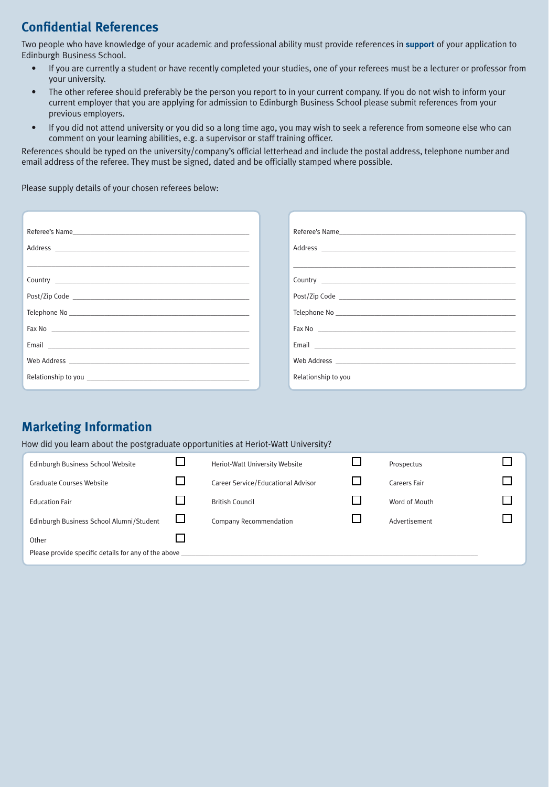### **Confidential References**

Two people who have knowledge of your academic and professional ability must provide references in **support** of your application to Edinburgh Business School.

- If you are currently a student or have recently completed your studies, one of your referees must be a lecturer or professor from your university.
- The other referee should preferably be the person you report to in your current company. If you do not wish to inform your current employer that you are applying for admission to Edinburgh Business School please submit references from your previous employers.
- If you did not attend university or you did so a long time ago, you may wish to seek a reference from someone else who can comment on your learning abilities, e.g. a supervisor or staff training officer.

References should be typed on the university/company's official letterhead and include the postal address, telephone number and email address of the referee. They must be signed, dated and be officially stamped where possible.

Please supply details of your chosen referees below:

| Fax No 2008 and 2008 and 2008 and 2008 and 2008 and 2008 and 2008 and 2008 and 2008 and 2008 and 200 | Fax No 2008 and 2008 and 2008 and 2008 and 2008 and 2008 and 2008 and 2008 and 2008 and 2008 and 200 |
|------------------------------------------------------------------------------------------------------|------------------------------------------------------------------------------------------------------|
|                                                                                                      |                                                                                                      |
|                                                                                                      |                                                                                                      |
|                                                                                                      | Relationship to you                                                                                  |

# **Marketing Information**

How did you learn about the postgraduate opportunities at Heriot-Watt University?

| Edinburgh Business School Website                    |  | Heriot-Watt University Website     |  | Prospectus    |  |  |
|------------------------------------------------------|--|------------------------------------|--|---------------|--|--|
| <b>Graduate Courses Website</b>                      |  | Career Service/Educational Advisor |  | Careers Fair  |  |  |
| <b>Education Fair</b>                                |  | <b>British Council</b>             |  | Word of Mouth |  |  |
| Edinburgh Business School Alumni/Student             |  | <b>Company Recommendation</b>      |  | Advertisement |  |  |
| Other                                                |  |                                    |  |               |  |  |
| Please provide specific details for any of the above |  |                                    |  |               |  |  |